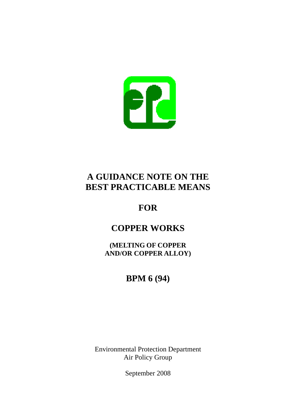

# **A GUIDANCE NOTE ON THE BEST PRACTICABLE MEANS**

# **FOR**

# **COPPER WORKS**

**AND/OR COPPER ALLOY)<br>BPM 6 (94) (MELTING OF COPPER** 

Environmental Protection Department Air Policy Group

September 2008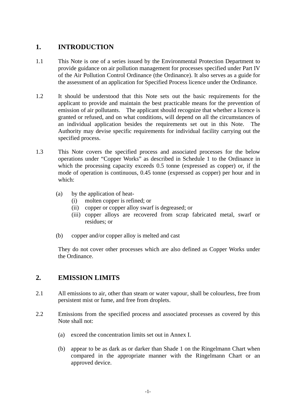#### 1. **1.INTRODUCTION**

- 1.1 This Note is one of a series issued by the Environmental Protection Department to provide guidance on air pollution management for processes specified under Part IV of the Air Pollution Control Ordinance (the Ordinance). It also serves as a guide for the assessment of an application for Specified Process licence under the Ordinance.
- 1.2 It should be understood that this Note sets out the basic requirements for the applicant to provide and maintain the best practicable means for the prevention of emission of air pollutants. The applicant should recognize that whether a licence is granted or refused, and on what conditions, will depend on all the circumstances of an individual application besides the requirements set out in this Note. The Authority may devise specific requirements for individual facility carrying out the specified process.
- 1.3 This Note covers the specified process and associated processes for the below operations under "Copper Works" as described in Schedule 1 to the Ordinance in which the processing capacity exceeds 0.5 tonne (expressed as copper) or, if the mode of operation is continuous, 0.45 tonne (expressed as copper) per hour and in which:
	- (a) by the application of heat
		- $(i)$ molten copper is refined; or
		- (ii) copper or copper alloy swarf is degreased; or
		- (iii) copper alloys are recovered from scrap fabricated metal, swarf or residues; or
	- (b) copper and/or copper alloy is melted and cast

They do not cover other processes which are also defined as Copper Works under the Ordinance.

### **2. EMISSION LIMITS**

- 2.1 All emissions to air, other than steam or water vapour, shall be colourless, free from persistent mist or fume, and free from droplets.
- 2.2 Emissions from the specified process and associated processes as covered by this Note shall not:
	- (a) exceed the concentration limits set out in Annex I.
	- (b) appear to be as dark as or darker than Shade 1 on the Ringelmann Chart when compared in the appropriate manner with the Ringelmann Chart or an approved device.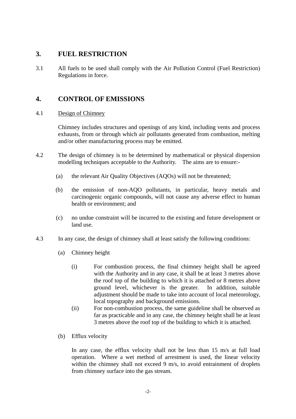### **3. FUEL RESTRICTION**

3.1 All fuels to be used shall comply with the Air Pollution Control (Fuel Restriction) Regulations in force.

## **4. CONTROL OF EMISSIONS**

 $4.1$ Design of Chimney

> Chimney includes structures and openings of any kind, including vents and process exhausts, from or through which air pollutants generated from combustion, melting and/or other manufacturing process may be emitted.

- $4.2$ The design of chimney is to be determined by mathematical or physical dispersion modelling techniques acceptable to the Authority. The aims are to ensure:-
	- $(a)$ the relevant Air Quality Objectives (AQOs) will not be threatened;
	- $(h)$ the emission of non-AQO pollutants, in particular, heavy metals and carcinogenic organic compounds, will not cause any adverse effect to human health or environment; and
	- $(c)$ no undue constraint will be incurred to the existing and future development or land use.
- 4.3 In any case, the design of chimney shall at least satisfy the following conditions:
	- (a) Chimney height
		- $(i)$ For combustion process, the final chimney height shall be agreed with the Authority and in any case, it shall be at least 3 metres above the roof top of the building to which it is attached or 8 metres above ground level, whichever is the greater. In addition, suitable adjustment should be made to take into account of local meteorology, local topography and background emissions.
		- (ii) For non-combustion process, the same guideline shall be observed as far as practicable and in any case, the chimney height shall be at least 3 metres above the roof top of the building to which it is attached.
	- (b) Efflux velocity

In any case, the efflux velocity shall not be less than 15 m/s at full load operation. Where a wet method of arrestment is used, the linear velocity within the chimney shall not exceed 9 m/s, to avoid entrainment of droplets from chimney surface into the gas stream.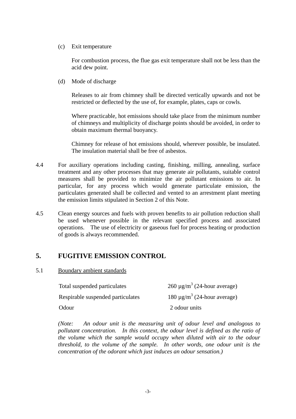(c) Exit temperature

For combustion process, the flue gas exit temperature shall not be less than the acid dew point.

(d) Mode of discharge

Releases to air from chimney shall be directed vertically upwards and not be restricted or deflected by the use of, for example, plates, caps or cowls.

Where practicable, hot emissions should take place from the minimum number of chimneys and multiplicity of discharge points should be avoided, in order to obtain maximum thermal buoyancy.

Chimney for release of hot emissions should, wherever possible, be insulated. The insulation material shall be free of asbestos.

- 4.4 For auxiliary operations including casting, finishing, milling, annealing, surface treatment and any other processes that may generate air pollutants, suitable control measures shall be provided to minimize the air pollutant emissions to air. In particular, for any process which would generate particulate emission, the particulates generated shall be collected and vented to an arrestment plant meeting the emission limits stipulated in Section 2 of this Note.
- 4.5 Clean energy sources and fuels with proven benefits to air pollution reduction shall be used whenever possible in the relevant specified process and associated operations. The use of electricity or gaseous fuel for process heating or production of goods is always recommended.

#### $\overline{5}$ . **5.FUGITIVE EMISSION CONTROL**

 $5.1$ 5.1Boundary ambient standards

| Total suspended particulates      | $260 \mu g/m^3$ (24-hour average)            |
|-----------------------------------|----------------------------------------------|
| Respirable suspended particulates | 180 $\mu$ g/m <sup>3</sup> (24-hour average) |
| Odour                             | 2 odour units                                |

*(Note: An odour unit is the measuring unit of odour level and analogous to pollutant concentration. In this context, the odour level is defined as the ratio of the volume which the sample would occupy when diluted with air to the odour threshold, to the volume of the sample. In other words, one odour unit is the concentration of the odorant which just induces an odour sensation.)*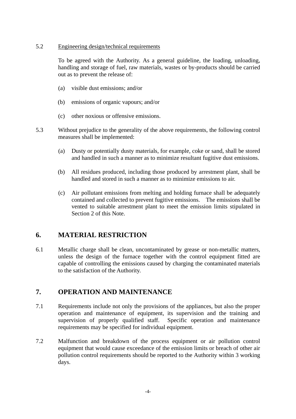#### $5.2$ 5.2Engineering design/technical requirements

To be agreed with the Authority. As a general guideline, the loading, unloading, handling and storage of fuel, raw materials, wastes or by-products should be carried out as to prevent the release of:

- $(a)$ visible dust emissions; and/or
- $(b)$ emissions of organic vapours; and/or
- (c) other noxious or offensive emissions.
- 53 Without prejudice to the generality of the above requirements, the following control measures shall be implemented:
	- $(a)$ Dusty or potentially dusty materials, for example, coke or sand, shall be stored and handled in such a manner as to minimize resultant fugitive dust emissions.
	- $(b)$ All residues produced, including those produced by arrestment plant, shall be handled and stored in such a manner as to minimize emissions to air.
	- $(c)$ Air pollutant emissions from melting and holding furnace shall be adequately contained and collected to prevent fugitive emissions. The emissions shall be vented to suitable arrestment plant to meet the emission limits stipulated in Section 2 of this Note.

#### 6. **6.MATERIAL RESTRICTION**

6.1 Metallic charge shall be clean, uncontaminated by grease or non-metallic matters, unless the design of the furnace together with the control equipment fitted are capable of controlling the emissions caused by charging the contaminated materials to the satisfaction of the Authority.

#### $\overline{7}$ . **7.OPERATION AND MAINTENANCE**

- 7.1 Requirements include not only the provisions of the appliances, but also the proper operation and maintenance of equipment, its supervision and the training and supervision of properly qualified staff. Specific operation and maintenance requirements may be specified for individual equipment.
- 7.2 Malfunction and breakdown of the process equipment or air pollution control equipment that would cause exceedance of the emission limits or breach of other air pollution control requirements should be reported to the Authority within 3 working days.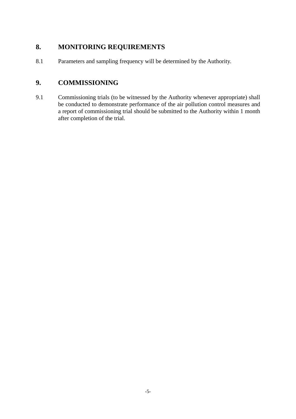#### 8. **8.MONITORING REQUIREMENTS**

8.1 Parameters and sampling frequency will be determined by the Authority.

### 9. **9.COMMISSIONING**

9.1 Commissioning trials (to be witnessed by the Authority whenever appropriate) shall be conducted to demonstrate performance of the air pollution control measures and a report of commissioning trial should be submitted to the Authority within 1 month after completion of the trial.